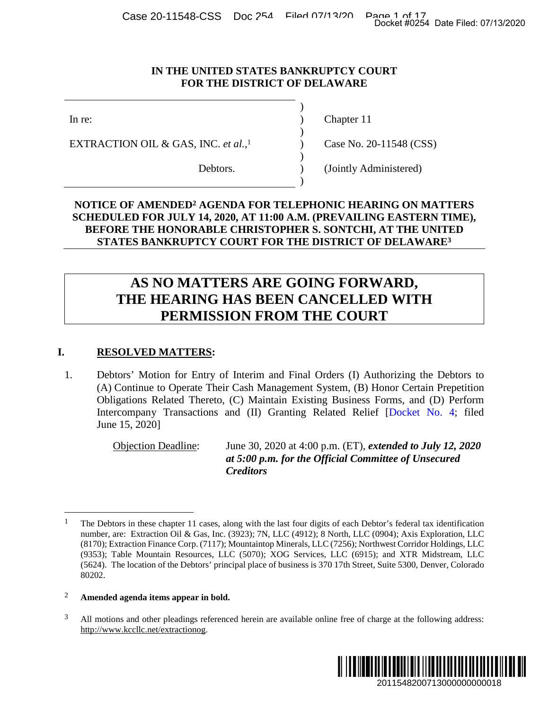Case 20-11548-CSS Doc 254 Filed 07/13/20 Page 1 of 17<br>Docket #0254 Date Filed: 07/13/2020

#### **IN THE UNITED STATES BANKRUPTCY COURT FOR THE DISTRICT OF DELAWARE**

)

 $\overline{)}$ 

)

)

EXTRACTION OIL & GAS, INC. *et al.*,

In re: (a) Chapter 11

1 Case No. 20-11548 (CSS)

Debtors. (Jointly Administered)

# **NOTICE OF AMENDED2 AGENDA FOR TELEPHONIC HEARING ON MATTERS SCHEDULED FOR JULY 14, 2020, AT 11:00 A.M. (PREVAILING EASTERN TIME), BEFORE THE HONORABLE CHRISTOPHER S. SONTCHI, AT THE UNITED STATES BANKRUPTCY COURT FOR THE DISTRICT OF DELAWARE<sup>3</sup>**

# **AS NO MATTERS ARE GOING FORWARD, THE HEARING HAS BEEN CANCELLED WITH PERMISSION FROM THE COURT**

# **I. RESOLVED MATTERS:**

1. Debtors' Motion for Entry of Interim and Final Orders (I) Authorizing the Debtors to (A) Continue to Operate Their Cash Management System, (B) Honor Certain Prepetition Obligations Related Thereto, (C) Maintain Existing Business Forms, and (D) Perform Intercompany Transactions and (II) Granting Related Relief [Docket No. 4; filed June 15, 2020]

> Objection Deadline: June 30, 2020 at 4:00 p.m. (ET), *extended to July 12, 2020 at 5:00 p.m. for the Official Committee of Unsecured Creditors*

<sup>&</sup>lt;sup>3</sup> All motions and other pleadings referenced herein are available online free of charge at the following address: http://www.kccllc.net/extractionog.



<sup>&</sup>lt;sup>1</sup> The Debtors in these chapter 11 cases, along with the last four digits of each Debtor's federal tax identification number, are: Extraction Oil & Gas, Inc. (3923); 7N, LLC (4912); 8 North, LLC (0904); Axis Exploration, LLC (8170); Extraction Finance Corp. (7117); Mountaintop Minerals, LLC (7256); Northwest Corridor Holdings, LLC (9353); Table Mountain Resources, LLC (5070); XOG Services, LLC (6915); and XTR Midstream, LLC (5624). The location of the Debtors' principal place of business is 370 17th Street, Suite 5300, Denver, Colorado 80202. 2011548200713000000000018 Docket #0254 Date Filed: 07/13/2020

<sup>2</sup> **Amended agenda items appear in bold.**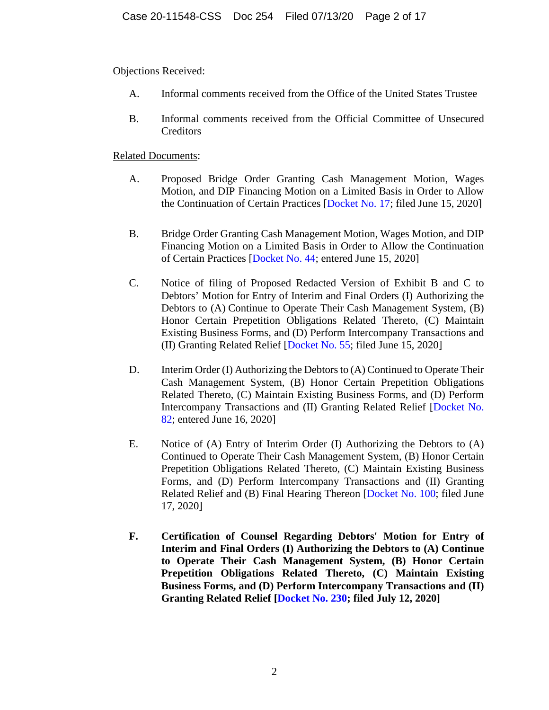Objections Received:

- A. Informal comments received from the Office of the United States Trustee
- B. Informal comments received from the Official Committee of Unsecured **Creditors**

- A. Proposed Bridge Order Granting Cash Management Motion, Wages Motion, and DIP Financing Motion on a Limited Basis in Order to Allow the Continuation of Certain Practices [Docket No. 17; filed June 15, 2020]
- B. Bridge Order Granting Cash Management Motion, Wages Motion, and DIP Financing Motion on a Limited Basis in Order to Allow the Continuation of Certain Practices [Docket No. 44; entered June 15, 2020]
- C. Notice of filing of Proposed Redacted Version of Exhibit B and C to Debtors' Motion for Entry of Interim and Final Orders (I) Authorizing the Debtors to (A) Continue to Operate Their Cash Management System, (B) Honor Certain Prepetition Obligations Related Thereto, (C) Maintain Existing Business Forms, and (D) Perform Intercompany Transactions and (II) Granting Related Relief [Docket No. 55; filed June 15, 2020]
- D. Interim Order (I) Authorizing the Debtors to (A) Continued to Operate Their Cash Management System, (B) Honor Certain Prepetition Obligations Related Thereto, (C) Maintain Existing Business Forms, and (D) Perform Intercompany Transactions and (II) Granting Related Relief [Docket No. 82; entered June 16, 2020]
- E. Notice of (A) Entry of Interim Order (I) Authorizing the Debtors to (A) Continued to Operate Their Cash Management System, (B) Honor Certain Prepetition Obligations Related Thereto, (C) Maintain Existing Business Forms, and (D) Perform Intercompany Transactions and (II) Granting Related Relief and (B) Final Hearing Thereon [Docket No. 100; filed June 17, 2020]
- **F. Certification of Counsel Regarding Debtors' Motion for Entry of Interim and Final Orders (I) Authorizing the Debtors to (A) Continue to Operate Their Cash Management System, (B) Honor Certain Prepetition Obligations Related Thereto, (C) Maintain Existing Business Forms, and (D) Perform Intercompany Transactions and (II) Granting Related Relief [Docket No. 230; filed July 12, 2020]**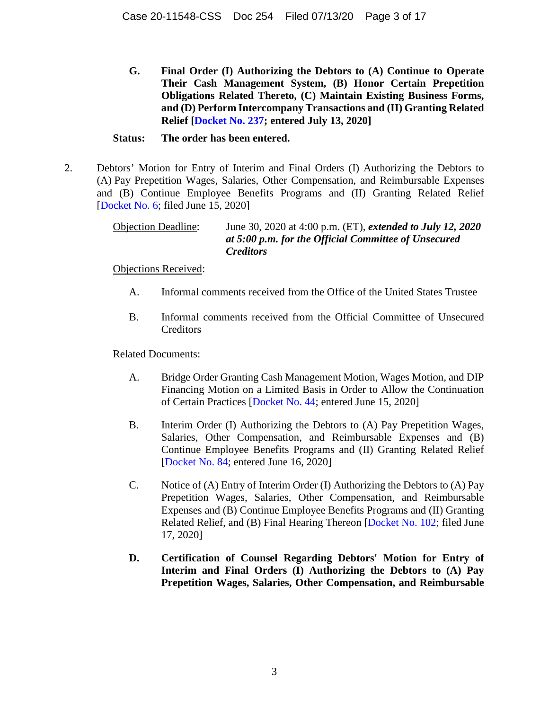**G. Final Order (I) Authorizing the Debtors to (A) Continue to Operate Their Cash Management System, (B) Honor Certain Prepetition Obligations Related Thereto, (C) Maintain Existing Business Forms, and (D) Perform Intercompany Transactions and (II) Granting Related Relief [Docket No. 237; entered July 13, 2020]** 

#### **Status: The order has been entered.**

2. Debtors' Motion for Entry of Interim and Final Orders (I) Authorizing the Debtors to (A) Pay Prepetition Wages, Salaries, Other Compensation, and Reimbursable Expenses and (B) Continue Employee Benefits Programs and (II) Granting Related Relief [Docket No. 6; filed June 15, 2020]

> Objection Deadline: June 30, 2020 at 4:00 p.m. (ET), *extended to July 12, 2020 at 5:00 p.m. for the Official Committee of Unsecured Creditors*

Objections Received:

- A. Informal comments received from the Office of the United States Trustee
- B. Informal comments received from the Official Committee of Unsecured **Creditors**

- A. Bridge Order Granting Cash Management Motion, Wages Motion, and DIP Financing Motion on a Limited Basis in Order to Allow the Continuation of Certain Practices [Docket No. 44; entered June 15, 2020]
- B. Interim Order (I) Authorizing the Debtors to (A) Pay Prepetition Wages, Salaries, Other Compensation, and Reimbursable Expenses and (B) Continue Employee Benefits Programs and (II) Granting Related Relief [Docket No. 84; entered June 16, 2020]
- C. Notice of (A) Entry of Interim Order (I) Authorizing the Debtors to (A) Pay Prepetition Wages, Salaries, Other Compensation, and Reimbursable Expenses and (B) Continue Employee Benefits Programs and (II) Granting Related Relief, and (B) Final Hearing Thereon [Docket No. 102; filed June 17, 2020]
- **D. Certification of Counsel Regarding Debtors' Motion for Entry of Interim and Final Orders (I) Authorizing the Debtors to (A) Pay Prepetition Wages, Salaries, Other Compensation, and Reimbursable**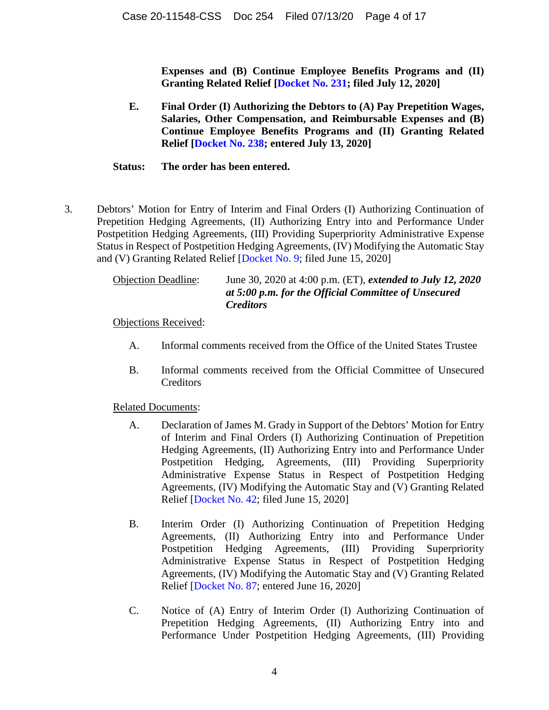**Expenses and (B) Continue Employee Benefits Programs and (II) Granting Related Relief [Docket No. 231; filed July 12, 2020]** 

**E. Final Order (I) Authorizing the Debtors to (A) Pay Prepetition Wages, Salaries, Other Compensation, and Reimbursable Expenses and (B) Continue Employee Benefits Programs and (II) Granting Related Relief [Docket No. 238; entered July 13, 2020]** 

#### **Status: The order has been entered.**

3. Debtors' Motion for Entry of Interim and Final Orders (I) Authorizing Continuation of Prepetition Hedging Agreements, (II) Authorizing Entry into and Performance Under Postpetition Hedging Agreements, (III) Providing Superpriority Administrative Expense Status in Respect of Postpetition Hedging Agreements, (IV) Modifying the Automatic Stay and (V) Granting Related Relief [Docket No. 9; filed June 15, 2020]

| <b>Objection Deadline:</b> | June 30, 2020 at 4:00 p.m. (ET), <i>extended to July 12</i> , 2020 |
|----------------------------|--------------------------------------------------------------------|
|                            | at 5:00 p.m. for the Official Committee of Unsecured               |
|                            | <i>Creditors</i>                                                   |

Objections Received:

- A. Informal comments received from the Office of the United States Trustee
- B. Informal comments received from the Official Committee of Unsecured **Creditors**

- A. Declaration of James M. Grady in Support of the Debtors' Motion for Entry of Interim and Final Orders (I) Authorizing Continuation of Prepetition Hedging Agreements, (II) Authorizing Entry into and Performance Under Postpetition Hedging, Agreements, (III) Providing Superpriority Administrative Expense Status in Respect of Postpetition Hedging Agreements, (IV) Modifying the Automatic Stay and (V) Granting Related Relief [Docket No. 42; filed June 15, 2020]
- B. Interim Order (I) Authorizing Continuation of Prepetition Hedging Agreements, (II) Authorizing Entry into and Performance Under Postpetition Hedging Agreements, (III) Providing Superpriority Administrative Expense Status in Respect of Postpetition Hedging Agreements, (IV) Modifying the Automatic Stay and (V) Granting Related Relief [Docket No. 87; entered June 16, 2020]
- C. Notice of (A) Entry of Interim Order (I) Authorizing Continuation of Prepetition Hedging Agreements, (II) Authorizing Entry into and Performance Under Postpetition Hedging Agreements, (III) Providing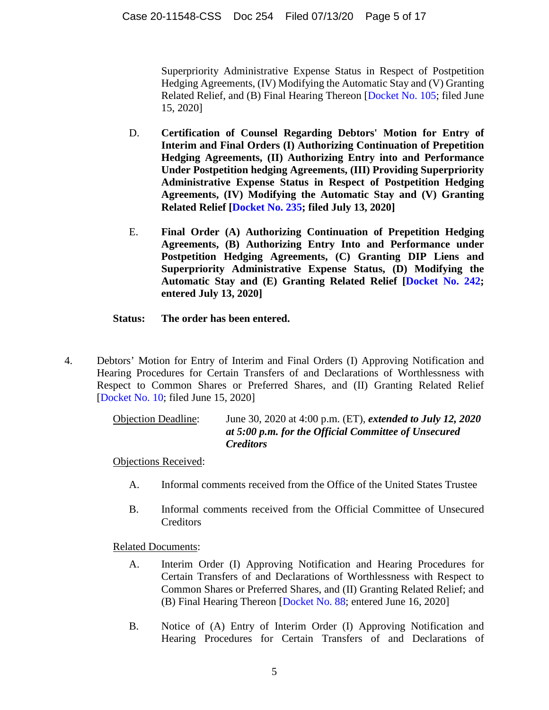Superpriority Administrative Expense Status in Respect of Postpetition Hedging Agreements, (IV) Modifying the Automatic Stay and (V) Granting Related Relief, and (B) Final Hearing Thereon [Docket No. 105; filed June 15, 2020]

- D. **Certification of Counsel Regarding Debtors' Motion for Entry of Interim and Final Orders (I) Authorizing Continuation of Prepetition Hedging Agreements, (II) Authorizing Entry into and Performance Under Postpetition hedging Agreements, (III) Providing Superpriority Administrative Expense Status in Respect of Postpetition Hedging Agreements, (IV) Modifying the Automatic Stay and (V) Granting Related Relief [Docket No. 235; filed July 13, 2020]**
- E. **Final Order (A) Authorizing Continuation of Prepetition Hedging Agreements, (B) Authorizing Entry Into and Performance under Postpetition Hedging Agreements, (C) Granting DIP Liens and Superpriority Administrative Expense Status, (D) Modifying the Automatic Stay and (E) Granting Related Relief [Docket No. 242; entered July 13, 2020]**

# **Status: The order has been entered.**

4. Debtors' Motion for Entry of Interim and Final Orders (I) Approving Notification and Hearing Procedures for Certain Transfers of and Declarations of Worthlessness with Respect to Common Shares or Preferred Shares, and (II) Granting Related Relief [Docket No. 10; filed June 15, 2020]

> Objection Deadline: June 30, 2020 at 4:00 p.m. (ET), *extended to July 12, 2020 at 5:00 p.m. for the Official Committee of Unsecured Creditors*

Objections Received:

- A. Informal comments received from the Office of the United States Trustee
- B. Informal comments received from the Official Committee of Unsecured Creditors

- A. Interim Order (I) Approving Notification and Hearing Procedures for Certain Transfers of and Declarations of Worthlessness with Respect to Common Shares or Preferred Shares, and (II) Granting Related Relief; and (B) Final Hearing Thereon [Docket No. 88; entered June 16, 2020]
- B. Notice of (A) Entry of Interim Order (I) Approving Notification and Hearing Procedures for Certain Transfers of and Declarations of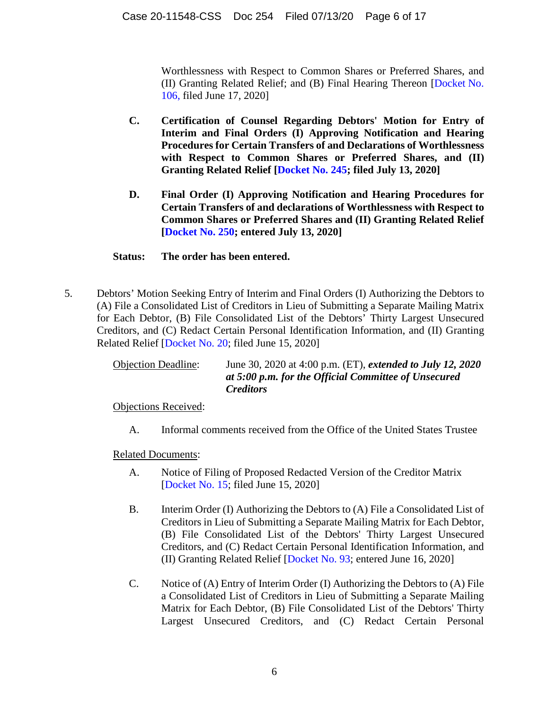Worthlessness with Respect to Common Shares or Preferred Shares, and (II) Granting Related Relief; and (B) Final Hearing Thereon [Docket No. 106, filed June 17, 2020]

- **C. Certification of Counsel Regarding Debtors' Motion for Entry of Interim and Final Orders (I) Approving Notification and Hearing Procedures for Certain Transfers of and Declarations of Worthlessness with Respect to Common Shares or Preferred Shares, and (II) Granting Related Relief [Docket No. 245; filed July 13, 2020]**
- **D. Final Order (I) Approving Notification and Hearing Procedures for Certain Transfers of and declarations of Worthlessness with Respect to Common Shares or Preferred Shares and (II) Granting Related Relief [Docket No. 250; entered July 13, 2020]**

# **Status: The order has been entered.**

5. Debtors' Motion Seeking Entry of Interim and Final Orders (I) Authorizing the Debtors to (A) File a Consolidated List of Creditors in Lieu of Submitting a Separate Mailing Matrix for Each Debtor, (B) File Consolidated List of the Debtors' Thirty Largest Unsecured Creditors, and (C) Redact Certain Personal Identification Information, and (II) Granting Related Relief [Docket No. 20; filed June 15, 2020]

| <b>Objection Deadline:</b> | June 30, 2020 at 4:00 p.m. (ET), <i>extended to July 12</i> , 2020       |
|----------------------------|--------------------------------------------------------------------------|
|                            | at 5:00 p.m. for the Official Committee of Unsecured<br><i>Creditors</i> |

Objections Received:

A. Informal comments received from the Office of the United States Trustee

- A. Notice of Filing of Proposed Redacted Version of the Creditor Matrix [Docket No. 15; filed June 15, 2020]
- B. Interim Order (I) Authorizing the Debtors to (A) File a Consolidated List of Creditors in Lieu of Submitting a Separate Mailing Matrix for Each Debtor, (B) File Consolidated List of the Debtors' Thirty Largest Unsecured Creditors, and (C) Redact Certain Personal Identification Information, and (II) Granting Related Relief [Docket No. 93; entered June 16, 2020]
- C. Notice of (A) Entry of Interim Order (I) Authorizing the Debtors to (A) File a Consolidated List of Creditors in Lieu of Submitting a Separate Mailing Matrix for Each Debtor, (B) File Consolidated List of the Debtors' Thirty Largest Unsecured Creditors, and (C) Redact Certain Personal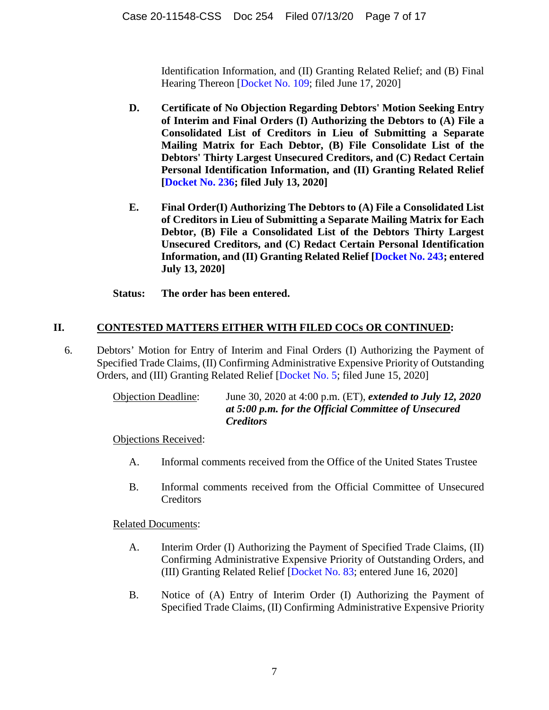Identification Information, and (II) Granting Related Relief; and (B) Final Hearing Thereon [Docket No. 109; filed June 17, 2020]

- **D. Certificate of No Objection Regarding Debtors' Motion Seeking Entry of Interim and Final Orders (I) Authorizing the Debtors to (A) File a Consolidated List of Creditors in Lieu of Submitting a Separate Mailing Matrix for Each Debtor, (B) File Consolidate List of the Debtors' Thirty Largest Unsecured Creditors, and (C) Redact Certain Personal Identification Information, and (II) Granting Related Relief [Docket No. 236; filed July 13, 2020]**
- **E. Final Order(I) Authorizing The Debtors to (A) File a Consolidated List of Creditors in Lieu of Submitting a Separate Mailing Matrix for Each Debtor, (B) File a Consolidated List of the Debtors Thirty Largest Unsecured Creditors, and (C) Redact Certain Personal Identification Information, and (II) Granting Related Relief [Docket No. 243; entered July 13, 2020]**
- **Status: The order has been entered.**

# **II. CONTESTED MATTERS EITHER WITH FILED COCs OR CONTINUED:**

6. Debtors' Motion for Entry of Interim and Final Orders (I) Authorizing the Payment of Specified Trade Claims, (II) Confirming Administrative Expensive Priority of Outstanding Orders, and (III) Granting Related Relief [Docket No. 5; filed June 15, 2020]

> Objection Deadline: June 30, 2020 at 4:00 p.m. (ET), *extended to July 12, 2020 at 5:00 p.m. for the Official Committee of Unsecured Creditors*

Objections Received:

- A. Informal comments received from the Office of the United States Trustee
- B. Informal comments received from the Official Committee of Unsecured **Creditors**

- A. Interim Order (I) Authorizing the Payment of Specified Trade Claims, (II) Confirming Administrative Expensive Priority of Outstanding Orders, and (III) Granting Related Relief [Docket No. 83; entered June 16, 2020]
- B. Notice of (A) Entry of Interim Order (I) Authorizing the Payment of Specified Trade Claims, (II) Confirming Administrative Expensive Priority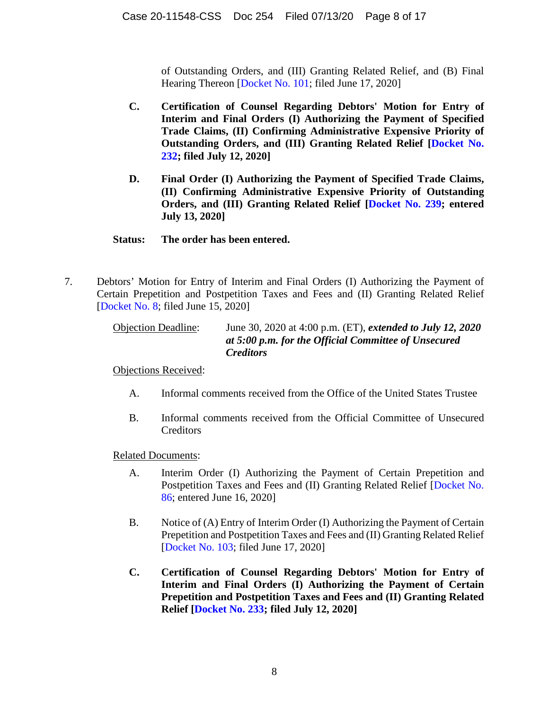of Outstanding Orders, and (III) Granting Related Relief, and (B) Final Hearing Thereon [Docket No. 101; filed June 17, 2020]

- **C. Certification of Counsel Regarding Debtors' Motion for Entry of Interim and Final Orders (I) Authorizing the Payment of Specified Trade Claims, (II) Confirming Administrative Expensive Priority of Outstanding Orders, and (III) Granting Related Relief [Docket No. 232; filed July 12, 2020]**
- **D. Final Order (I) Authorizing the Payment of Specified Trade Claims, (II) Confirming Administrative Expensive Priority of Outstanding Orders, and (III) Granting Related Relief [Docket No. 239; entered July 13, 2020]**

#### **Status: The order has been entered.**

7. Debtors' Motion for Entry of Interim and Final Orders (I) Authorizing the Payment of Certain Prepetition and Postpetition Taxes and Fees and (II) Granting Related Relief [Docket No. 8; filed June 15, 2020]

> Objection Deadline: June 30, 2020 at 4:00 p.m. (ET), *extended to July 12, 2020 at 5:00 p.m. for the Official Committee of Unsecured Creditors*

Objections Received:

- A. Informal comments received from the Office of the United States Trustee
- B. Informal comments received from the Official Committee of Unsecured Creditors

- A. Interim Order (I) Authorizing the Payment of Certain Prepetition and Postpetition Taxes and Fees and (II) Granting Related Relief [Docket No. 86; entered June 16, 2020]
- B. Notice of (A) Entry of Interim Order (I) Authorizing the Payment of Certain Prepetition and Postpetition Taxes and Fees and (II) Granting Related Relief [Docket No. 103; filed June 17, 2020]
- **C. Certification of Counsel Regarding Debtors' Motion for Entry of Interim and Final Orders (I) Authorizing the Payment of Certain Prepetition and Postpetition Taxes and Fees and (II) Granting Related Relief [Docket No. 233; filed July 12, 2020]**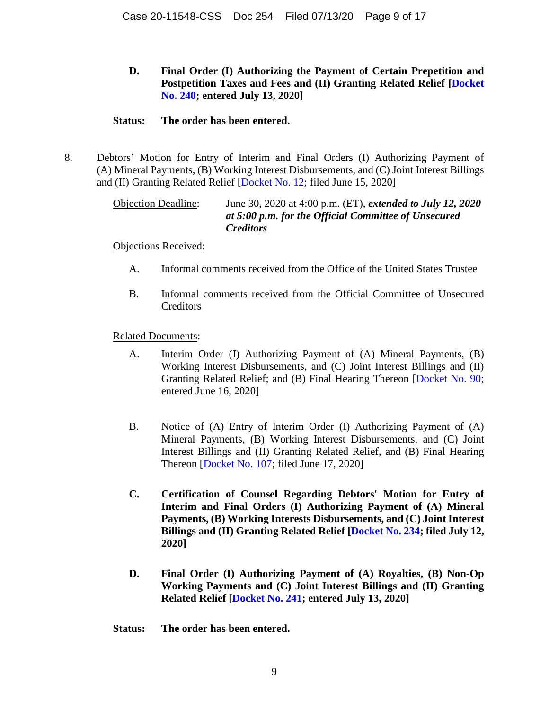**D. Final Order (I) Authorizing the Payment of Certain Prepetition and Postpetition Taxes and Fees and (II) Granting Related Relief [Docket No. 240; entered July 13, 2020]** 

#### **Status: The order has been entered.**

8. Debtors' Motion for Entry of Interim and Final Orders (I) Authorizing Payment of (A) Mineral Payments, (B) Working Interest Disbursements, and (C) Joint Interest Billings and (II) Granting Related Relief [Docket No. 12; filed June 15, 2020]

> Objection Deadline: June 30, 2020 at 4:00 p.m. (ET), *extended to July 12, 2020 at 5:00 p.m. for the Official Committee of Unsecured Creditors*

Objections Received:

- A. Informal comments received from the Office of the United States Trustee
- B. Informal comments received from the Official Committee of Unsecured Creditors

- A. Interim Order (I) Authorizing Payment of (A) Mineral Payments, (B) Working Interest Disbursements, and (C) Joint Interest Billings and (II) Granting Related Relief; and (B) Final Hearing Thereon [Docket No. 90; entered June 16, 2020]
- B. Notice of (A) Entry of Interim Order (I) Authorizing Payment of (A) Mineral Payments, (B) Working Interest Disbursements, and (C) Joint Interest Billings and (II) Granting Related Relief, and (B) Final Hearing Thereon [Docket No. 107; filed June 17, 2020]
- **C. Certification of Counsel Regarding Debtors' Motion for Entry of Interim and Final Orders (I) Authorizing Payment of (A) Mineral Payments, (B) Working Interests Disbursements, and (C) Joint Interest Billings and (II) Granting Related Relief [Docket No. 234; filed July 12, 2020]**
- **D. Final Order (I) Authorizing Payment of (A) Royalties, (B) Non-Op Working Payments and (C) Joint Interest Billings and (II) Granting Related Relief [Docket No. 241; entered July 13, 2020]**
- **Status: The order has been entered.**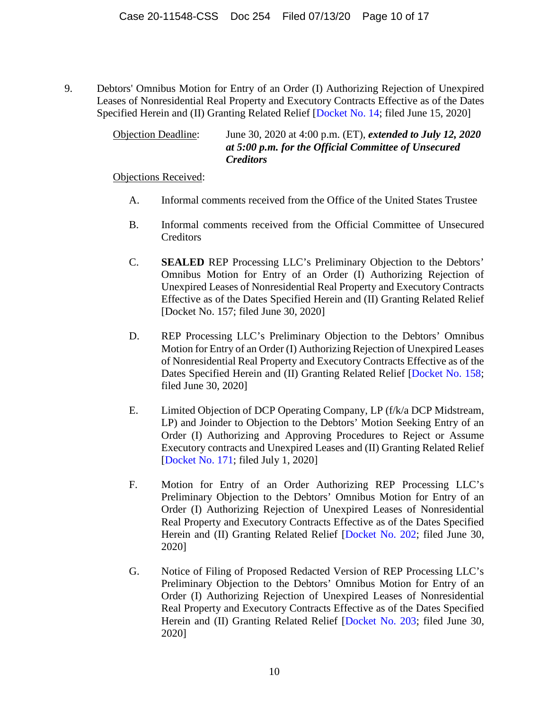9. Debtors' Omnibus Motion for Entry of an Order (I) Authorizing Rejection of Unexpired Leases of Nonresidential Real Property and Executory Contracts Effective as of the Dates Specified Herein and (II) Granting Related Relief [Docket No. 14; filed June 15, 2020]

> Objection Deadline: June 30, 2020 at 4:00 p.m. (ET), *extended to July 12, 2020 at 5:00 p.m. for the Official Committee of Unsecured Creditors*

Objections Received:

- A. Informal comments received from the Office of the United States Trustee
- B. Informal comments received from the Official Committee of Unsecured **Creditors**
- C. **SEALED** REP Processing LLC's Preliminary Objection to the Debtors' Omnibus Motion for Entry of an Order (I) Authorizing Rejection of Unexpired Leases of Nonresidential Real Property and Executory Contracts Effective as of the Dates Specified Herein and (II) Granting Related Relief [Docket No. 157; filed June 30, 2020]
- D. REP Processing LLC's Preliminary Objection to the Debtors' Omnibus Motion for Entry of an Order (I) Authorizing Rejection of Unexpired Leases of Nonresidential Real Property and Executory Contracts Effective as of the Dates Specified Herein and (II) Granting Related Relief [Docket No. 158; filed June 30, 2020]
- E. Limited Objection of DCP Operating Company, LP (f/k/a DCP Midstream, LP) and Joinder to Objection to the Debtors' Motion Seeking Entry of an Order (I) Authorizing and Approving Procedures to Reject or Assume Executory contracts and Unexpired Leases and (II) Granting Related Relief [Docket No. 171; filed July 1, 2020]
- F. Motion for Entry of an Order Authorizing REP Processing LLC's Preliminary Objection to the Debtors' Omnibus Motion for Entry of an Order (I) Authorizing Rejection of Unexpired Leases of Nonresidential Real Property and Executory Contracts Effective as of the Dates Specified Herein and (II) Granting Related Relief [Docket No. 202; filed June 30, 2020]
- G. Notice of Filing of Proposed Redacted Version of REP Processing LLC's Preliminary Objection to the Debtors' Omnibus Motion for Entry of an Order (I) Authorizing Rejection of Unexpired Leases of Nonresidential Real Property and Executory Contracts Effective as of the Dates Specified Herein and (II) Granting Related Relief [Docket No. 203; filed June 30, 2020]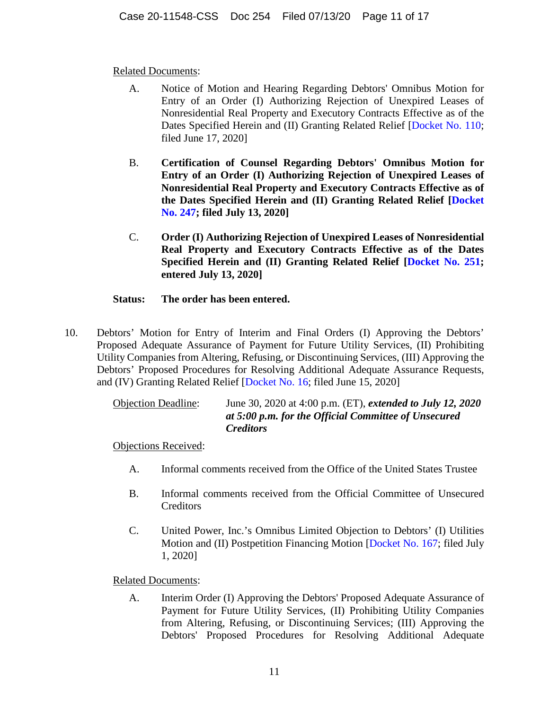# Related Documents:

- A. Notice of Motion and Hearing Regarding Debtors' Omnibus Motion for Entry of an Order (I) Authorizing Rejection of Unexpired Leases of Nonresidential Real Property and Executory Contracts Effective as of the Dates Specified Herein and (II) Granting Related Relief [Docket No. 110; filed June 17, 2020]
- B. **Certification of Counsel Regarding Debtors' Omnibus Motion for Entry of an Order (I) Authorizing Rejection of Unexpired Leases of Nonresidential Real Property and Executory Contracts Effective as of the Dates Specified Herein and (II) Granting Related Relief [Docket No. 247; filed July 13, 2020]**
- C. **Order (I) Authorizing Rejection of Unexpired Leases of Nonresidential Real Property and Executory Contracts Effective as of the Dates Specified Herein and (II) Granting Related Relief [Docket No. 251; entered July 13, 2020]**

# **Status: The order has been entered.**

10. Debtors' Motion for Entry of Interim and Final Orders (I) Approving the Debtors' Proposed Adequate Assurance of Payment for Future Utility Services, (II) Prohibiting Utility Companies from Altering, Refusing, or Discontinuing Services, (III) Approving the Debtors' Proposed Procedures for Resolving Additional Adequate Assurance Requests, and (IV) Granting Related Relief [Docket No. 16; filed June 15, 2020]

> Objection Deadline: June 30, 2020 at 4:00 p.m. (ET), *extended to July 12, 2020 at 5:00 p.m. for the Official Committee of Unsecured Creditors*

Objections Received:

- A. Informal comments received from the Office of the United States Trustee
- B. Informal comments received from the Official Committee of Unsecured **Creditors**
- C. United Power, Inc.'s Omnibus Limited Objection to Debtors' (I) Utilities Motion and (II) Postpetition Financing Motion [Docket No. 167; filed July 1, 2020]

Related Documents:

A. Interim Order (I) Approving the Debtors' Proposed Adequate Assurance of Payment for Future Utility Services, (II) Prohibiting Utility Companies from Altering, Refusing, or Discontinuing Services; (III) Approving the Debtors' Proposed Procedures for Resolving Additional Adequate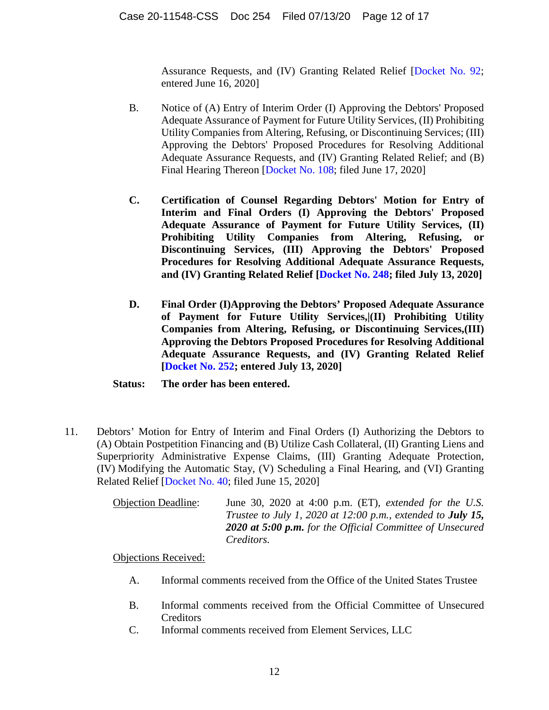Assurance Requests, and (IV) Granting Related Relief [Docket No. 92; entered June 16, 2020]

- B. Notice of (A) Entry of Interim Order (I) Approving the Debtors' Proposed Adequate Assurance of Payment for Future Utility Services, (II) Prohibiting Utility Companies from Altering, Refusing, or Discontinuing Services; (III) Approving the Debtors' Proposed Procedures for Resolving Additional Adequate Assurance Requests, and (IV) Granting Related Relief; and (B) Final Hearing Thereon [Docket No. 108; filed June 17, 2020]
- **C. Certification of Counsel Regarding Debtors' Motion for Entry of Interim and Final Orders (I) Approving the Debtors' Proposed Adequate Assurance of Payment for Future Utility Services, (II) Prohibiting Utility Companies from Altering, Refusing, or Discontinuing Services, (III) Approving the Debtors' Proposed Procedures for Resolving Additional Adequate Assurance Requests, and (IV) Granting Related Relief [Docket No. 248; filed July 13, 2020]**
- **D. Final Order (I)Approving the Debtors' Proposed Adequate Assurance of Payment for Future Utility Services,|(II) Prohibiting Utility Companies from Altering, Refusing, or Discontinuing Services,(III) Approving the Debtors Proposed Procedures for Resolving Additional Adequate Assurance Requests, and (IV) Granting Related Relief [Docket No. 252; entered July 13, 2020]**
- **Status: The order has been entered.**
- 11. Debtors' Motion for Entry of Interim and Final Orders (I) Authorizing the Debtors to (A) Obtain Postpetition Financing and (B) Utilize Cash Collateral, (II) Granting Liens and Superpriority Administrative Expense Claims, (III) Granting Adequate Protection, (IV) Modifying the Automatic Stay, (V) Scheduling a Final Hearing, and (VI) Granting Related Relief [Docket No. 40; filed June 15, 2020]

| <b>Objection Deadline:</b> | June 30, 2020 at 4:00 p.m. $(ET)$ , <i>extended for the U.S.</i>   |
|----------------------------|--------------------------------------------------------------------|
|                            | Trustee to July 1, 2020 at 12:00 p.m., extended to <b>July 15,</b> |
|                            | <b>2020 at 5:00 p.m.</b> for the Official Committee of Unsecured   |
|                            | <i>Creditors.</i>                                                  |

Objections Received:

- A. Informal comments received from the Office of the United States Trustee
- B. Informal comments received from the Official Committee of Unsecured Creditors
- C. Informal comments received from Element Services, LLC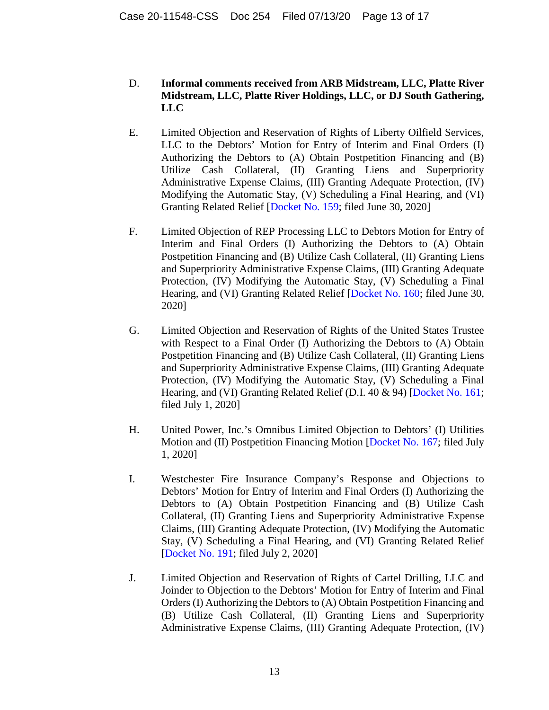### D. **Informal comments received from ARB Midstream, LLC, Platte River Midstream, LLC, Platte River Holdings, LLC, or DJ South Gathering, LLC**

- E. Limited Objection and Reservation of Rights of Liberty Oilfield Services, LLC to the Debtors' Motion for Entry of Interim and Final Orders (I) Authorizing the Debtors to (A) Obtain Postpetition Financing and (B) Utilize Cash Collateral, (II) Granting Liens and Superpriority Administrative Expense Claims, (III) Granting Adequate Protection, (IV) Modifying the Automatic Stay, (V) Scheduling a Final Hearing, and (VI) Granting Related Relief [Docket No. 159; filed June 30, 2020]
- F. Limited Objection of REP Processing LLC to Debtors Motion for Entry of Interim and Final Orders (I) Authorizing the Debtors to (A) Obtain Postpetition Financing and (B) Utilize Cash Collateral, (II) Granting Liens and Superpriority Administrative Expense Claims, (III) Granting Adequate Protection, (IV) Modifying the Automatic Stay, (V) Scheduling a Final Hearing, and (VI) Granting Related Relief [Docket No. 160; filed June 30, 2020]
- G. Limited Objection and Reservation of Rights of the United States Trustee with Respect to a Final Order (I) Authorizing the Debtors to (A) Obtain Postpetition Financing and (B) Utilize Cash Collateral, (II) Granting Liens and Superpriority Administrative Expense Claims, (III) Granting Adequate Protection, (IV) Modifying the Automatic Stay, (V) Scheduling a Final Hearing, and (VI) Granting Related Relief (D.I. 40 & 94) [Docket No. 161; filed July 1, 2020]
- H. United Power, Inc.'s Omnibus Limited Objection to Debtors' (I) Utilities Motion and (II) Postpetition Financing Motion [Docket No. 167; filed July 1, 2020]
- I. Westchester Fire Insurance Company's Response and Objections to Debtors' Motion for Entry of Interim and Final Orders (I) Authorizing the Debtors to (A) Obtain Postpetition Financing and (B) Utilize Cash Collateral, (II) Granting Liens and Superpriority Administrative Expense Claims, (III) Granting Adequate Protection, (IV) Modifying the Automatic Stay, (V) Scheduling a Final Hearing, and (VI) Granting Related Relief [Docket No. 191; filed July 2, 2020]
- J. Limited Objection and Reservation of Rights of Cartel Drilling, LLC and Joinder to Objection to the Debtors' Motion for Entry of Interim and Final Orders (I) Authorizing the Debtors to (A) Obtain Postpetition Financing and (B) Utilize Cash Collateral, (II) Granting Liens and Superpriority Administrative Expense Claims, (III) Granting Adequate Protection, (IV)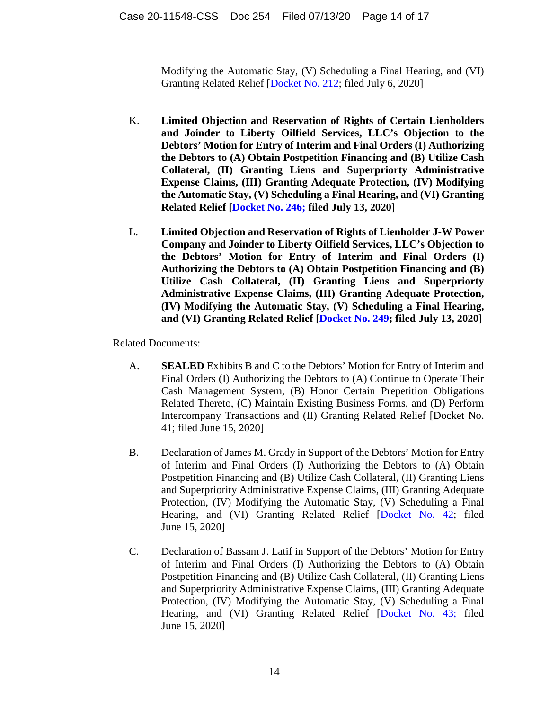Modifying the Automatic Stay, (V) Scheduling a Final Hearing, and (VI) Granting Related Relief [Docket No. 212; filed July 6, 2020]

- K. **Limited Objection and Reservation of Rights of Certain Lienholders and Joinder to Liberty Oilfield Services, LLC's Objection to the Debtors' Motion for Entry of Interim and Final Orders (I) Authorizing the Debtors to (A) Obtain Postpetition Financing and (B) Utilize Cash Collateral, (II) Granting Liens and Superpriorty Administrative Expense Claims, (III) Granting Adequate Protection, (IV) Modifying the Automatic Stay, (V) Scheduling a Final Hearing, and (VI) Granting Related Relief [Docket No. 246; filed July 13, 2020]**
- L. **Limited Objection and Reservation of Rights of Lienholder J-W Power Company and Joinder to Liberty Oilfield Services, LLC's Objection to the Debtors' Motion for Entry of Interim and Final Orders (I) Authorizing the Debtors to (A) Obtain Postpetition Financing and (B) Utilize Cash Collateral, (II) Granting Liens and Superpriorty Administrative Expense Claims, (III) Granting Adequate Protection, (IV) Modifying the Automatic Stay, (V) Scheduling a Final Hearing, and (VI) Granting Related Relief [Docket No. 249; filed July 13, 2020]**

- A. **SEALED** Exhibits B and C to the Debtors' Motion for Entry of Interim and Final Orders (I) Authorizing the Debtors to (A) Continue to Operate Their Cash Management System, (B) Honor Certain Prepetition Obligations Related Thereto, (C) Maintain Existing Business Forms, and (D) Perform Intercompany Transactions and (II) Granting Related Relief [Docket No. 41; filed June 15, 2020]
- B. Declaration of James M. Grady in Support of the Debtors' Motion for Entry of Interim and Final Orders (I) Authorizing the Debtors to (A) Obtain Postpetition Financing and (B) Utilize Cash Collateral, (II) Granting Liens and Superpriority Administrative Expense Claims, (III) Granting Adequate Protection, (IV) Modifying the Automatic Stay, (V) Scheduling a Final Hearing, and (VI) Granting Related Relief [Docket No. 42; filed June 15, 2020]
- C. Declaration of Bassam J. Latif in Support of the Debtors' Motion for Entry of Interim and Final Orders (I) Authorizing the Debtors to (A) Obtain Postpetition Financing and (B) Utilize Cash Collateral, (II) Granting Liens and Superpriority Administrative Expense Claims, (III) Granting Adequate Protection, (IV) Modifying the Automatic Stay, (V) Scheduling a Final Hearing, and (VI) Granting Related Relief [Docket No. 43; filed June 15, 2020]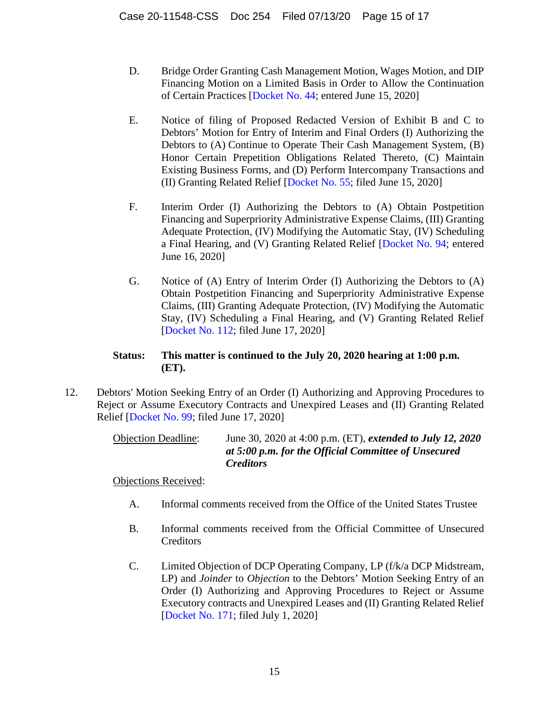- D. Bridge Order Granting Cash Management Motion, Wages Motion, and DIP Financing Motion on a Limited Basis in Order to Allow the Continuation of Certain Practices [Docket No. 44; entered June 15, 2020]
- E. Notice of filing of Proposed Redacted Version of Exhibit B and C to Debtors' Motion for Entry of Interim and Final Orders (I) Authorizing the Debtors to (A) Continue to Operate Their Cash Management System, (B) Honor Certain Prepetition Obligations Related Thereto, (C) Maintain Existing Business Forms, and (D) Perform Intercompany Transactions and (II) Granting Related Relief [Docket No. 55; filed June 15, 2020]
- F. Interim Order (I) Authorizing the Debtors to (A) Obtain Postpetition Financing and Superpriority Administrative Expense Claims, (III) Granting Adequate Protection, (IV) Modifying the Automatic Stay, (IV) Scheduling a Final Hearing, and (V) Granting Related Relief [Docket No. 94; entered June 16, 2020]
- G. Notice of (A) Entry of Interim Order (I) Authorizing the Debtors to (A) Obtain Postpetition Financing and Superpriority Administrative Expense Claims, (III) Granting Adequate Protection, (IV) Modifying the Automatic Stay, (IV) Scheduling a Final Hearing, and (V) Granting Related Relief [Docket No. 112; filed June 17, 2020]

# **Status: This matter is continued to the July 20, 2020 hearing at 1:00 p.m. (ET).**

12. Debtors' Motion Seeking Entry of an Order (I) Authorizing and Approving Procedures to Reject or Assume Executory Contracts and Unexpired Leases and (II) Granting Related Relief [Docket No. 99; filed June 17, 2020]

> Objection Deadline: June 30, 2020 at 4:00 p.m. (ET), *extended to July 12, 2020 at 5:00 p.m. for the Official Committee of Unsecured Creditors*

Objections Received:

- A. Informal comments received from the Office of the United States Trustee
- B. Informal comments received from the Official Committee of Unsecured **Creditors**
- C. Limited Objection of DCP Operating Company, LP (f/k/a DCP Midstream, LP) and *Joinder* to *Objection* to the Debtors' Motion Seeking Entry of an Order (I) Authorizing and Approving Procedures to Reject or Assume Executory contracts and Unexpired Leases and (II) Granting Related Relief [Docket No. 171; filed July 1, 2020]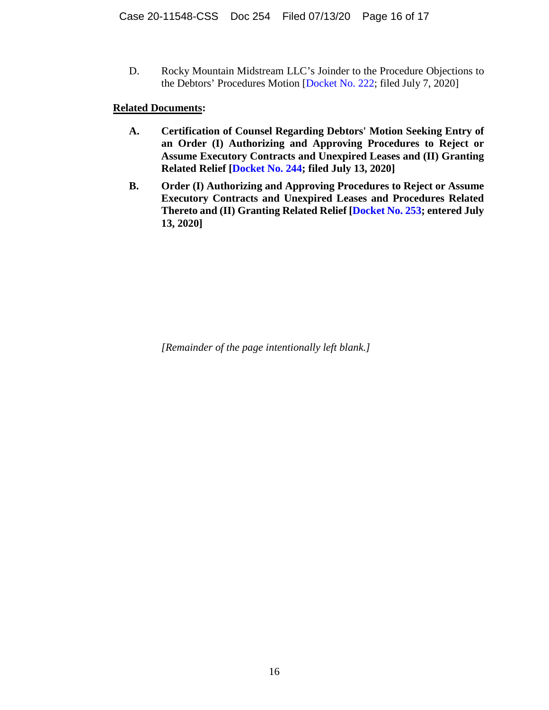D. Rocky Mountain Midstream LLC's Joinder to the Procedure Objections to the Debtors' Procedures Motion [Docket No. 222; filed July 7, 2020]

#### **Related Documents:**

- **A. Certification of Counsel Regarding Debtors' Motion Seeking Entry of an Order (I) Authorizing and Approving Procedures to Reject or Assume Executory Contracts and Unexpired Leases and (II) Granting Related Relief [Docket No. 244; filed July 13, 2020]**
- **B. Order (I) Authorizing and Approving Procedures to Reject or Assume Executory Contracts and Unexpired Leases and Procedures Related Thereto and (II) Granting Related Relief [Docket No. 253; entered July 13, 2020]**

*[Remainder of the page intentionally left blank.]*